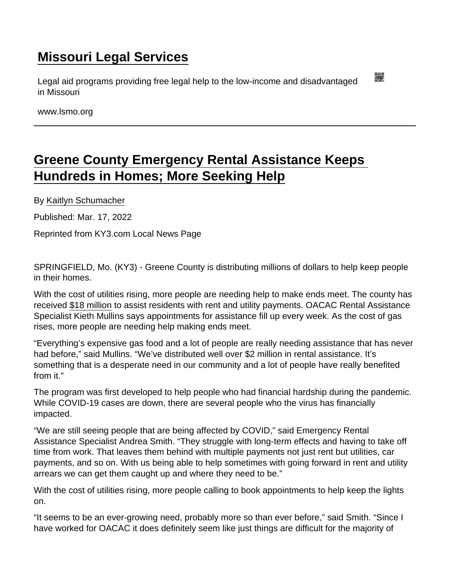## [Missouri Legal Services](https://www.lsmo.org/)

Legal aid programs providing free legal help to the low-income and disadvantaged in Missouri

www.lsmo.org

## [Greene County Emergency Rental Assistance Keeps](https://www.lsmo.org/node/938/greene-county-emergency-rental-assistance-keeps-hundreds-homes-more-seeking-help)  [Hundreds in Homes; More Seeking Help](https://www.lsmo.org/node/938/greene-county-emergency-rental-assistance-keeps-hundreds-homes-more-seeking-help)

By [Kaitlyn Schumacher](https://www.ky3.com/authors/kaitlyn.schumacher@gray.tv/)

Published: Mar. 17, 2022

Reprinted from KY3.com Local News Page

SPRINGFIELD, Mo. (KY3) - Greene County is distributing millions of dollars to help keep people in their homes.

With the cost of utilities rising, more people are needing help to make ends meet. The county has received [\\$18 million](https://www.greenecountymo.gov/files/PDF/file.pdf?id=40687) to assist residents with rent and utility payments. OACAC Rental Assistance Specialist Kieth Mullins says appointments for assistance fill up every week. As the cost of gas rises, more people are needing help making ends meet.

"Everything's expensive gas food and a lot of people are really needing assistance that has never had before," said Mullins. "We've distributed well over \$2 million in rental assistance. It's something that is a desperate need in our community and a lot of people have really benefited from it."

The program was first developed to help people who had financial hardship during the pandemic. While COVID-19 cases are down, there are several people who the virus has financially impacted.

"We are still seeing people that are being affected by COVID," said Emergency Rental Assistance Specialist Andrea Smith. "They struggle with long-term effects and having to take off time from work. That leaves them behind with multiple payments not just rent but utilities, car payments, and so on. With us being able to help sometimes with going forward in rent and utility arrears we can get them caught up and where they need to be."

With the cost of utilities rising, more people calling to book appointments to help keep the lights on.

"It seems to be an ever-growing need, probably more so than ever before," said Smith. "Since I have worked for OACAC it does definitely seem like just things are difficult for the majority of